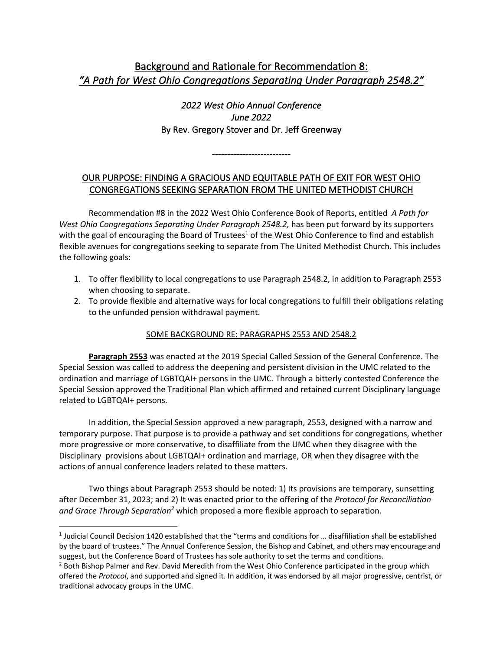# Background and Rationale for Recommendation 8: *"A Path for West Ohio Congregations Separating Under Paragraph 2548.2"*

*2022 West Ohio Annual Conference June 2022*  By Rev. Gregory Stover and Dr. Jeff Greenway

# OUR PURPOSE: FINDING A GRACIOUS AND EQUITABLE PATH OF EXIT FOR WEST OHIO CONGREGATIONS SEEKING SEPARATION FROM THE UNITED METHODIST CHURCH

--------------------------

Recommendation #8 in the 2022 West Ohio Conference Book of Reports, entitled *A Path for*  West Ohio Congregations Separating Under Paragraph 2548.2, has been put forward by its supporters with the goal of encouraging the Board of Trustees<sup>1</sup> of the West Ohio Conference to find and establish flexible avenues for congregations seeking to separate from The United Methodist Church. This includes the following goals:

- 1. To offer flexibility to local congregations to use Paragraph 2548.2, in addition to Paragraph 2553 when choosing to separate.
- 2. To provide flexible and alternative ways for local congregations to fulfill their obligations relating to the unfunded pension withdrawal payment.

# SOME BACKGROUND RE: PARAGRAPHS 2553 AND 2548.2

**Paragraph 2553** was enacted at the 2019 Special Called Session of the General Conference. The Special Session was called to address the deepening and persistent division in the UMC related to the ordination and marriage of LGBTQAI+ persons in the UMC. Through a bitterly contested Conference the Special Session approved the Traditional Plan which affirmed and retained current Disciplinary language related to LGBTQAI+ persons.

In addition, the Special Session approved a new paragraph, 2553, designed with a narrow and temporary purpose. That purpose is to provide a pathway and set conditions for congregations, whether more progressive or more conservative, to disaffiliate from the UMC when they disagree with the Disciplinary provisions about LGBTQAI+ ordination and marriage, OR when they disagree with the actions of annual conference leaders related to these matters.

Two things about Paragraph 2553 should be noted: 1) Its provisions are temporary, sunsetting after December 31, 2023; and 2) It was enacted prior to the offering of the *Protocol for Reconciliation and Grace Through Separation2* which proposed a more flexible approach to separation.

<sup>1</sup> Judicial Council Decision 1420 established that the "terms and conditions for … disaffiliation shall be established by the board of trustees." The Annual Conference Session, the Bishop and Cabinet, and others may encourage and suggest, but the Conference Board of Trustees has sole authority to set the terms and conditions.

<sup>&</sup>lt;sup>2</sup> Both Bishop Palmer and Rev. David Meredith from the West Ohio Conference participated in the group which offered the *Protocol*, and supported and signed it. In addition, it was endorsed by all major progressive, centrist, or traditional advocacy groups in the UMC.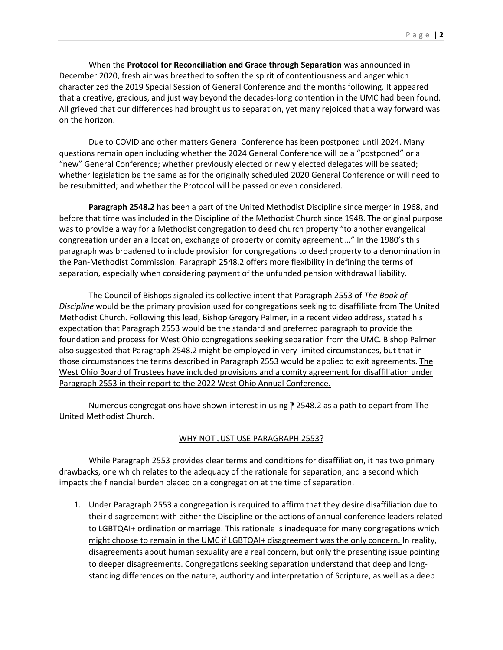When the **Protocol for Reconciliation and Grace through Separation** was announced in December 2020, fresh air was breathed to soften the spirit of contentiousness and anger which characterized the 2019 Special Session of General Conference and the months following. It appeared that a creative, gracious, and just way beyond the decades-long contention in the UMC had been found. All grieved that our differences had brought us to separation, yet many rejoiced that a way forward was on the horizon.

Due to COVID and other matters General Conference has been postponed until 2024. Many questions remain open including whether the 2024 General Conference will be a "postponed" or a "new" General Conference; whether previously elected or newly elected delegates will be seated; whether legislation be the same as for the originally scheduled 2020 General Conference or will need to be resubmitted; and whether the Protocol will be passed or even considered.

**Paragraph 2548.2** has been a part of the United Methodist Discipline since merger in 1968, and before that time was included in the Discipline of the Methodist Church since 1948. The original purpose was to provide a way for a Methodist congregation to deed church property "to another evangelical congregation under an allocation, exchange of property or comity agreement …" In the 1980's this paragraph was broadened to include provision for congregations to deed property to a denomination in the Pan-Methodist Commission. Paragraph 2548.2 offers more flexibility in defining the terms of separation, especially when considering payment of the unfunded pension withdrawal liability.

The Council of Bishops signaled its collective intent that Paragraph 2553 of *The Book of Discipline* would be the primary provision used for congregations seeking to disaffiliate from The United Methodist Church. Following this lead, Bishop Gregory Palmer, in a recent video address, stated his expectation that Paragraph 2553 would be the standard and preferred paragraph to provide the foundation and process for West Ohio congregations seeking separation from the UMC. Bishop Palmer also suggested that Paragraph 2548.2 might be employed in very limited circumstances, but that in those circumstances the terms described in Paragraph 2553 would be applied to exit agreements. The West Ohio Board of Trustees have included provisions and a comity agreement for disaffiliation under Paragraph 2553 in their report to the 2022 West Ohio Annual Conference.

Numerous congregations have shown interest in using **₪** 2548.2 as a path to depart from The United Methodist Church.

# WHY NOT JUST USE PARAGRAPH 2553?

While Paragraph 2553 provides clear terms and conditions for disaffiliation, it has two primary drawbacks, one which relates to the adequacy of the rationale for separation, and a second which impacts the financial burden placed on a congregation at the time of separation.

1. Under Paragraph 2553 a congregation is required to affirm that they desire disaffiliation due to their disagreement with either the Discipline or the actions of annual conference leaders related to LGBTQAI+ ordination or marriage. This rationale is inadequate for many congregations which might choose to remain in the UMC if LGBTQAI+ disagreement was the only concern. In reality, disagreements about human sexuality are a real concern, but only the presenting issue pointing to deeper disagreements. Congregations seeking separation understand that deep and longstanding differences on the nature, authority and interpretation of Scripture, as well as a deep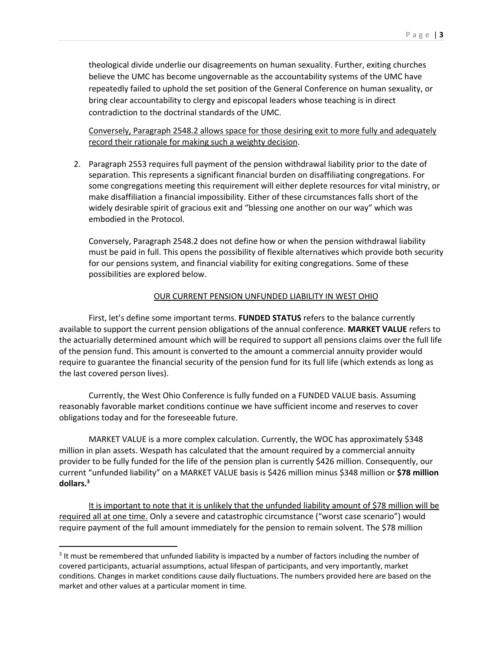theological divide underlie our disagreements on human sexuality. Further, exiting churches believe the UMC has become ungovernable as the accountability systems of the UMC have repeatedly failed to uphold the set position of the General Conference on human sexuality, or bring clear accountability to clergy and episcopal leaders whose teaching is in direct contradiction to the doctrinal standards of the UMC.

Conversely, Paragraph 2548.2 allows space for those desiring exit to more fully and adequately record their rationale for making such a weighty decision.

2. Paragraph 2553 requires full payment of the pension withdrawal liability prior to the date of separation. This represents a significant financial burden on disaffiliating congregations. For some congregations meeting this requirement will either deplete resources for vital ministry, or make disaffiliation a financial impossibility. Either of these circumstances falls short of the widely desirable spirit of gracious exit and "blessing one another on our way" which was embodied in the Protocol.

Conversely, Paragraph 2548.2 does not define how or when the pension withdrawal liability must be paid in full. This opens the possibility of flexible alternatives which provide both security for our pensions system, and financial viability for exiting congregations. Some of these possibilities are explored below.

# OUR CURRENT PENSION UNFUNDED LIABILITY IN WEST OHIO

First, let's define some important terms. **FUNDED STATUS** refers to the balance currently available to support the current pension obligations of the annual conference. **MARKET VALUE** refers to the actuarially determined amount which will be required to support all pensions claims over the full life of the pension fund. This amount is converted to the amount a commercial annuity provider would require to guarantee the financial security of the pension fund for its full life (which extends as long as the last covered person lives).

Currently, the West Ohio Conference is fully funded on a FUNDED VALUE basis. Assuming reasonably favorable market conditions continue we have sufficient income and reserves to cover obligations today and for the foreseeable future.

MARKET VALUE is a more complex calculation. Currently, the WOC has approximately \$348 million in plan assets. Wespath has calculated that the amount required by a commercial annuity provider to be fully funded for the life of the pension plan is currently \$426 million. Consequently, our current "unfunded liability" on a MARKET VALUE basis is \$426 million minus \$348 million or **\$78 million dollars.3**

It is important to note that it is unlikely that the unfunded liability amount of \$78 million will be required all at one time. Only a severe and catastrophic circumstance ("worst case scenario") would require payment of the full amount immediately for the pension to remain solvent. The \$78 million

<sup>&</sup>lt;sup>3</sup> It must be remembered that unfunded liability is impacted by a number of factors including the number of covered participants, actuarial assumptions, actual lifespan of participants, and very importantly, market conditions. Changes in market conditions cause daily fluctuations. The numbers provided here are based on the market and other values at a particular moment in time.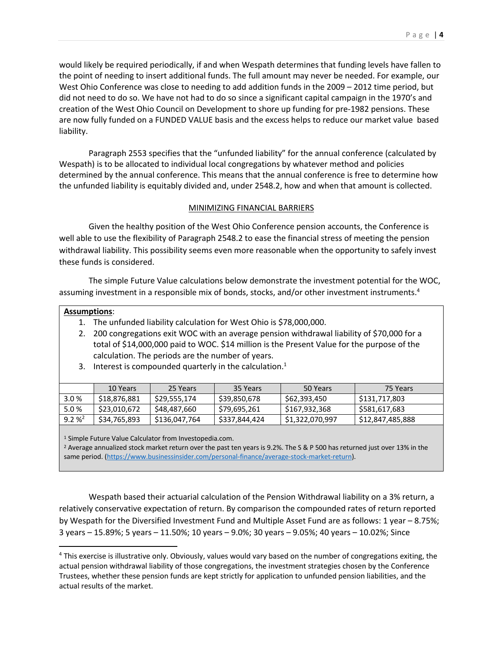would likely be required periodically, if and when Wespath determines that funding levels have fallen to the point of needing to insert additional funds. The full amount may never be needed. For example, our West Ohio Conference was close to needing to add addition funds in the 2009 – 2012 time period, but did not need to do so. We have not had to do so since a significant capital campaign in the 1970's and creation of the West Ohio Council on Development to shore up funding for pre-1982 pensions. These are now fully funded on a FUNDED VALUE basis and the excess helps to reduce our market value based liability.

Paragraph 2553 specifies that the "unfunded liability" for the annual conference (calculated by Wespath) is to be allocated to individual local congregations by whatever method and policies determined by the annual conference. This means that the annual conference is free to determine how the unfunded liability is equitably divided and, under 2548.2, how and when that amount is collected.

### MINIMIZING FINANCIAL BARRIERS

Given the healthy position of the West Ohio Conference pension accounts, the Conference is well able to use the flexibility of Paragraph 2548.2 to ease the financial stress of meeting the pension withdrawal liability. This possibility seems even more reasonable when the opportunity to safely invest these funds is considered.

The simple Future Value calculations below demonstrate the investment potential for the WOC, assuming investment in a responsible mix of bonds, stocks, and/or other investment instruments.<sup>4</sup>

#### **Assumptions**:

- 1. The unfunded liability calculation for West Ohio is \$78,000,000.
- 2. 200 congregations exit WOC with an average pension withdrawal liability of \$70,000 for a total of \$14,000,000 paid to WOC. \$14 million is the Present Value for the purpose of the calculation. The periods are the number of years.
- 3. Interest is compounded quarterly in the calculation.<sup>1</sup>

|          | 10 Years     | 25 Years      | 35 Years      | 50 Years        | 75 Years         |
|----------|--------------|---------------|---------------|-----------------|------------------|
| 3.0%     | \$18,876,881 | \$29,555,174  | \$39,850,678  | \$62,393,450    | \$131,717,803    |
| 5.0%     | \$23,010,672 | \$48,487,660  | \$79,695,261  | \$167,932,368   | \$581,617,683    |
| $9.2 \%$ | \$34,765,893 | \$136,047,764 | \$337,844,424 | \$1,322,070,997 | \$12,847,485,888 |

<sup>1</sup> Simple Future Value Calculator from Investopedia.com.

<sup>2</sup> Average annualized stock market return over the past ten years is 9.2%. The S & P 500 has returned just over 13% in the same period. (https://www.businessinsider.com/personal-finance/average-stock-market-return).

Wespath based their actuarial calculation of the Pension Withdrawal liability on a 3% return, a relatively conservative expectation of return. By comparison the compounded rates of return reported by Wespath for the Diversified Investment Fund and Multiple Asset Fund are as follows: 1 year – 8.75%; 3 years – 15.89%; 5 years – 11.50%; 10 years – 9.0%; 30 years – 9.05%; 40 years – 10.02%; Since

<sup>4</sup> This exercise is illustrative only. Obviously, values would vary based on the number of congregations exiting, the actual pension withdrawal liability of those congregations, the investment strategies chosen by the Conference Trustees, whether these pension funds are kept strictly for application to unfunded pension liabilities, and the actual results of the market.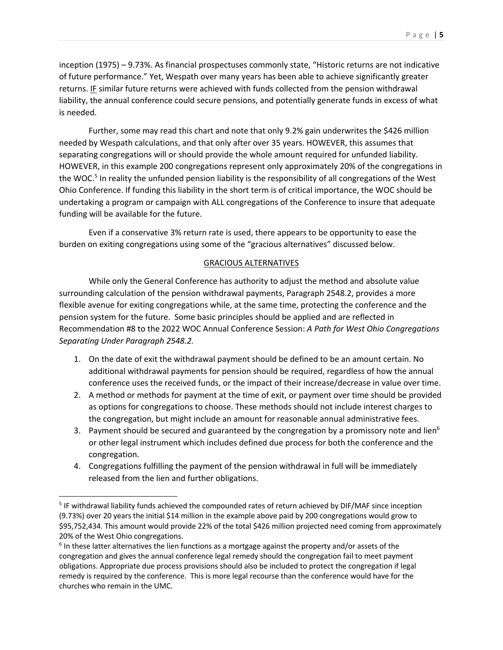inception (1975) – 9.73%. As financial prospectuses commonly state, "Historic returns are not indicative of future performance." Yet, Wespath over many years has been able to achieve significantly greater returns. IF similar future returns were achieved with funds collected from the pension withdrawal liability, the annual conference could secure pensions, and potentially generate funds in excess of what is needed.

Further, some may read this chart and note that only 9.2% gain underwrites the \$426 million needed by Wespath calculations, and that only after over 35 years. HOWEVER, this assumes that separating congregations will or should provide the whole amount required for unfunded liability. HOWEVER, in this example 200 congregations represent only approximately 20% of the congregations in the WOC.<sup>5</sup> In reality the unfunded pension liability is the responsibility of all congregations of the West Ohio Conference. If funding this liability in the short term is of critical importance, the WOC should be undertaking a program or campaign with ALL congregations of the Conference to insure that adequate funding will be available for the future.

Even if a conservative 3% return rate is used, there appears to be opportunity to ease the burden on exiting congregations using some of the "gracious alternatives" discussed below.

### GRACIOUS ALTERNATIVES

While only the General Conference has authority to adjust the method and absolute value surrounding calculation of the pension withdrawal payments, Paragraph 2548.2, provides a more flexible avenue for exiting congregations while, at the same time, protecting the conference and the pension system for the future. Some basic principles should be applied and are reflected in Recommendation #8 to the 2022 WOC Annual Conference Session: *A Path for West Ohio Congregations Separating Under Paragraph 2548.2.*

- 1. On the date of exit the withdrawal payment should be defined to be an amount certain. No additional withdrawal payments for pension should be required, regardless of how the annual conference uses the received funds, or the impact of their increase/decrease in value over time.
- 2. A method or methods for payment at the time of exit, or payment over time should be provided as options for congregations to choose. These methods should not include interest charges to the congregation, but might include an amount for reasonable annual administrative fees.
- 3. Payment should be secured and guaranteed by the congregation by a promissory note and lien<sup>6</sup> or other legal instrument which includes defined due process for both the conference and the congregation.
- 4. Congregations fulfilling the payment of the pension withdrawal in full will be immediately released from the lien and further obligations.

<sup>5</sup> IF withdrawal liability funds achieved the compounded rates of return achieved by DIF/MAF since inception (9.73%) over 20 years the initial \$14 million in the example above paid by 200 congregations would grow to \$95,752,434. This amount would provide 22% of the total \$426 million projected need coming from approximately 20% of the West Ohio congregations.

 $6$  In these latter alternatives the lien functions as a mortgage against the property and/or assets of the congregation and gives the annual conference legal remedy should the congregation fail to meet payment obligations. Appropriate due process provisions should also be included to protect the congregation if legal remedy is required by the conference. This is more legal recourse than the conference would have for the churches who remain in the UMC.